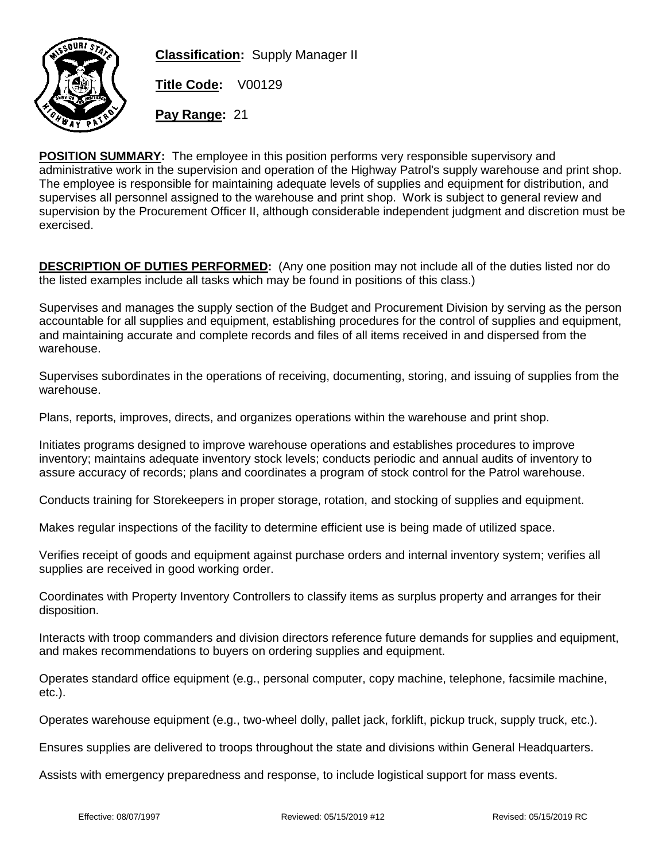

**Classification:** Supply Manager II

**Title Code:** V00129

**Pay Range:** 21

**POSITION SUMMARY:** The employee in this position performs very responsible supervisory and administrative work in the supervision and operation of the Highway Patrol's supply warehouse and print shop. The employee is responsible for maintaining adequate levels of supplies and equipment for distribution, and supervises all personnel assigned to the warehouse and print shop. Work is subject to general review and supervision by the Procurement Officer II, although considerable independent judgment and discretion must be exercised.

**DESCRIPTION OF DUTIES PERFORMED:** (Any one position may not include all of the duties listed nor do the listed examples include all tasks which may be found in positions of this class.)

Supervises and manages the supply section of the Budget and Procurement Division by serving as the person accountable for all supplies and equipment, establishing procedures for the control of supplies and equipment, and maintaining accurate and complete records and files of all items received in and dispersed from the warehouse.

Supervises subordinates in the operations of receiving, documenting, storing, and issuing of supplies from the warehouse.

Plans, reports, improves, directs, and organizes operations within the warehouse and print shop.

Initiates programs designed to improve warehouse operations and establishes procedures to improve inventory; maintains adequate inventory stock levels; conducts periodic and annual audits of inventory to assure accuracy of records; plans and coordinates a program of stock control for the Patrol warehouse.

Conducts training for Storekeepers in proper storage, rotation, and stocking of supplies and equipment.

Makes regular inspections of the facility to determine efficient use is being made of utilized space.

Verifies receipt of goods and equipment against purchase orders and internal inventory system; verifies all supplies are received in good working order.

Coordinates with Property Inventory Controllers to classify items as surplus property and arranges for their disposition.

Interacts with troop commanders and division directors reference future demands for supplies and equipment, and makes recommendations to buyers on ordering supplies and equipment.

Operates standard office equipment (e.g., personal computer, copy machine, telephone, facsimile machine, etc.).

Operates warehouse equipment (e.g., two-wheel dolly, pallet jack, forklift, pickup truck, supply truck, etc.).

Ensures supplies are delivered to troops throughout the state and divisions within General Headquarters.

Assists with emergency preparedness and response, to include logistical support for mass events.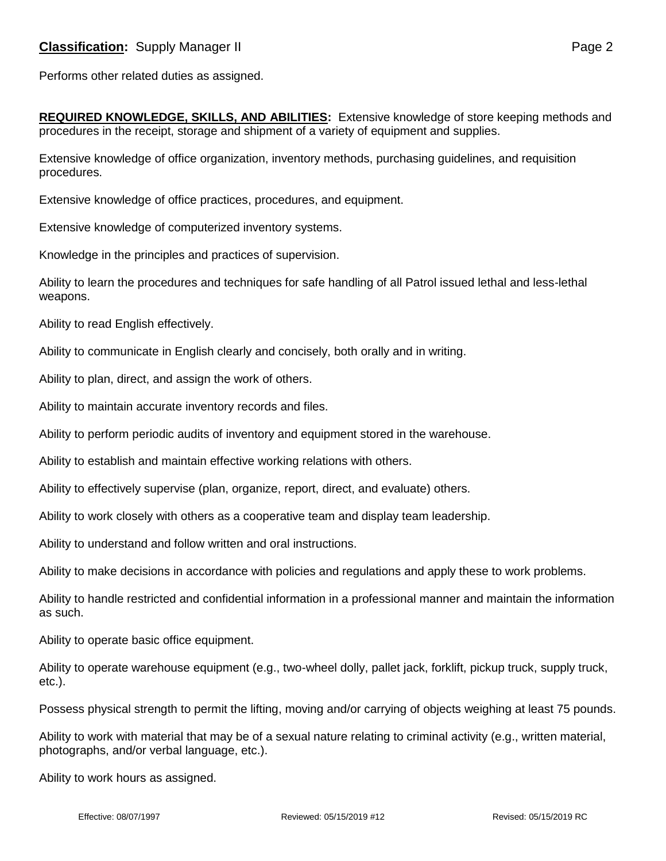Performs other related duties as assigned.

**REQUIRED KNOWLEDGE, SKILLS, AND ABILITIES:** Extensive knowledge of store keeping methods and procedures in the receipt, storage and shipment of a variety of equipment and supplies.

Extensive knowledge of office organization, inventory methods, purchasing guidelines, and requisition procedures.

Extensive knowledge of office practices, procedures, and equipment.

Extensive knowledge of computerized inventory systems.

Knowledge in the principles and practices of supervision.

Ability to learn the procedures and techniques for safe handling of all Patrol issued lethal and less-lethal weapons.

Ability to read English effectively.

Ability to communicate in English clearly and concisely, both orally and in writing.

Ability to plan, direct, and assign the work of others.

Ability to maintain accurate inventory records and files.

Ability to perform periodic audits of inventory and equipment stored in the warehouse.

Ability to establish and maintain effective working relations with others.

Ability to effectively supervise (plan, organize, report, direct, and evaluate) others.

Ability to work closely with others as a cooperative team and display team leadership.

Ability to understand and follow written and oral instructions.

Ability to make decisions in accordance with policies and regulations and apply these to work problems.

Ability to handle restricted and confidential information in a professional manner and maintain the information as such.

Ability to operate basic office equipment.

Ability to operate warehouse equipment (e.g., two-wheel dolly, pallet jack, forklift, pickup truck, supply truck, etc.).

Possess physical strength to permit the lifting, moving and/or carrying of objects weighing at least 75 pounds.

Ability to work with material that may be of a sexual nature relating to criminal activity (e.g., written material, photographs, and/or verbal language, etc.).

Ability to work hours as assigned.